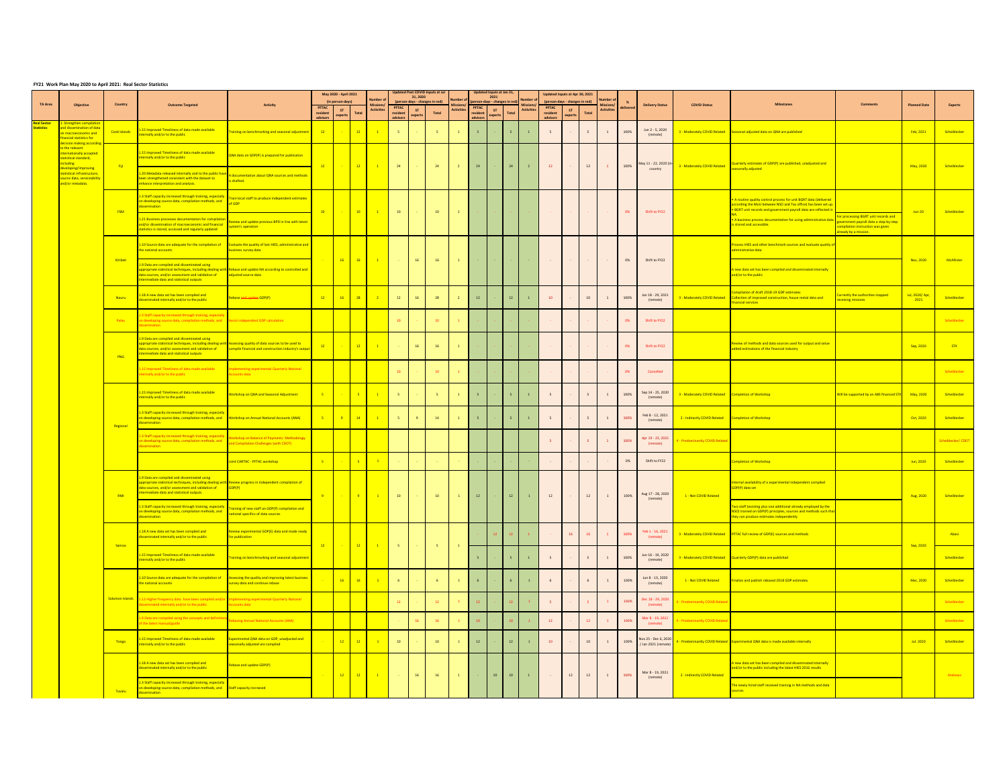## **FY21 Work Plan May 2020 to April 2021: Real Sector Statistics**

|                       |                                                                                                                 |                | <b>Outcome Targeted</b>                                                                                                                                                                                                                                        | <b>Activity</b>                                                                                                                   |                  | May 2020 - April 2021<br>(in person-days) |                         | lumber o                                                                                           | enst COVID Innuts at L<br>31,2020 |                |                                 | mber             |                         | I Innuts at Jan 31<br>2021 |                          | imber          |                                  | Updated Inputs at Apr 30, 2021<br>erson-days - changes in redl |                | mher                |             |                                             |                               |                                                                                                                                                                                              |                                                                                                                                          |                     |                |
|-----------------------|-----------------------------------------------------------------------------------------------------------------|----------------|----------------------------------------------------------------------------------------------------------------------------------------------------------------------------------------------------------------------------------------------------------------|-----------------------------------------------------------------------------------------------------------------------------------|------------------|-------------------------------------------|-------------------------|----------------------------------------------------------------------------------------------------|-----------------------------------|----------------|---------------------------------|------------------|-------------------------|----------------------------|--------------------------|----------------|----------------------------------|----------------------------------------------------------------|----------------|---------------------|-------------|---------------------------------------------|-------------------------------|----------------------------------------------------------------------------------------------------------------------------------------------------------------------------------------------|------------------------------------------------------------------------------------------------------------------------------------------|---------------------|----------------|
|                       | Objective                                                                                                       | Country        |                                                                                                                                                                                                                                                                |                                                                                                                                   | PFTAC<br>dvisors | ST<br>experts                             | Tota                    | lissions/<br><b>Activities</b>                                                                     | <b>PFTAC</b><br>dvisor            | ST.<br>experts | $\operatorname{\mathsf{Total}}$ | <b>Activitie</b> | <b>PFTAC</b>            | ST<br>experts              | Total                    | Activitie      | PFTAC ST<br>resident<br>advisors | experts                                                        | Total          | ssions<br>Activitie | elivere     | <b>Delivery Status</b>                      | <b>COVID Status</b>           |                                                                                                                                                                                              |                                                                                                                                          | <b>Planned Date</b> | <b>Expert:</b> |
| al Sector<br>atistics | trengthen compila<br>d dissemination of dat<br>acroeconomic and<br>ancial statistics for<br>ision making accord | Cook Islands   | 15 Improved Timeliness of data made available<br>ternally and/or to the public                                                                                                                                                                                 | raining on benchmarking and seasonal adjustme                                                                                     | $\overline{12}$  |                                           | $\overline{12}$         | $\overline{1}$                                                                                     | 5                                 |                | $\overline{\phantom{a}}$        | $\overline{1}$   | 5                       |                            | $\overline{\phantom{a}}$ | $\overline{1}$ | 5                                |                                                                | 5              | $\,$ $\,$           | 100%        | Jun 2 - 5, 2020<br>(remote)                 | 3 - Moderately COVID Related  | Seasonal adjusted data on ONA are published                                                                                                                                                  |                                                                                                                                          | Feb. 2021           | Scheiblecker   |
|                       | to the relevant<br>ationally accepted<br>tistical standard,<br>uding                                            | - Fiji         | 15 Improved Timeliness of data made available<br>mally and/or to the public                                                                                                                                                                                    | (NA data on GDP(P) is prepared for publication                                                                                    | $\frac{12}{12}$  |                                           | $-12$                   | $\overline{1}$                                                                                     | $24^\circ$                        |                | 24                              | $\mathbf{2}$     | 24                      |                            | 24                       | $\mathbf{z}$   | $12^\circ$                       |                                                                | $12\,$         | $\,$ $\,$           | 100%        | May 11 - 22, 2020 (in                       | 3 - Moderately COVID Related  | Quarterly estimates of GDP(P) are published, unadjusted and                                                                                                                                  |                                                                                                                                          | May, 2020           | Scheiblecker   |
|                       | eveloping/improving<br>atistical infrastructure<br>urce data, serviceabl<br>nd/or metadata.                     |                | .20 Metadata released internally and to the public have<br>in strengthened consistent with the dataset to<br>nhance interpretation and analysis.                                                                                                               | A documentation about QNA sources and method<br>is drafted.                                                                       |                  |                                           |                         |                                                                                                    |                                   |                |                                 |                  |                         |                            |                          |                |                                  |                                                                |                |                     |             | country                                     |                               | leasonally adjusted                                                                                                                                                                          |                                                                                                                                          |                     |                |
|                       |                                                                                                                 | <b>FSM</b>     | 3 Staff capacity increased through training, especially<br>in developing source data, compilation methods, and<br>emination                                                                                                                                    | rain local staff to produce independent estimate<br>of GDP                                                                        | 10 <sub>1</sub>  |                                           | 10                      | $\sim 1$                                                                                           | $10\,$                            |                | $10\,$                          | $\,$ $\,$        |                         |                            |                          |                |                                  |                                                                |                |                     | 0%          | Shift to FY22                               |                               | A routine quality control process for unit BGRT data (delivere<br>ccording the MoU between NSD and Tax office) has been set u<br>BGRT unit records and government payroll data are reflected |                                                                                                                                          | $Jun-20$            | Scheiblecke    |
|                       |                                                                                                                 |                | 21 Business processes documentation for compilation<br>d/or dissemination of macroeconomic and financial<br>atistics is stored, accessed and regularly updated                                                                                                 | Review and update previous BPD in line with latest<br>ystem's operation                                                           |                  |                                           |                         |                                                                                                    |                                   |                |                                 |                  |                         |                            |                          |                |                                  |                                                                |                |                     |             |                                             |                               | A business process documentation for using administrative da<br>stored and accessible.                                                                                                       | For processing BGRT unit records and<br>government payroll data a step-by-step<br>mpilation instruction was given<br>ready by a mission. |                     |                |
|                       |                                                                                                                 | Kiribati       | 10 Source data are adequate for the compilation of<br>he national accounts                                                                                                                                                                                     | valuate the quality of last HIES, administrative an<br>susiness survey data                                                       |                  |                                           | $16$ $16$               | $-1$                                                                                               |                                   | 16             |                                 | $\mathbf{1}$     |                         |                            |                          |                |                                  |                                                                |                |                     | $0\%$       | Shift to FY22                               |                               | cess HIES and other benchmark sources and evaluate quality<br>dministrative data                                                                                                             |                                                                                                                                          | Nov. 2020           | McAllister     |
|                       |                                                                                                                 |                | 9 Data are compiled and disseminated using<br>ata sources, and/or assessment and validation of<br>mediate data and statistical outputs                                                                                                                         | propriate statistical techniques, including dealing with Rebase and update NA according to controlled and<br>adjusted source data |                  |                                           |                         |                                                                                                    |                                   |                | $16\,$                          |                  |                         |                            |                          |                |                                  |                                                                |                |                     |             |                                             |                               | new data set has been compiled and disseminated internally<br>nd/or to the public                                                                                                            |                                                                                                                                          |                     |                |
|                       |                                                                                                                 | Nauru          | 18 A new data set has been compiled and<br>eminated internally and/or to the public                                                                                                                                                                            | pbase <del>and update</del> GDP(P)                                                                                                | $\frac{12}{2}$   | 16 <sup>2</sup>                           | 28                      | $\sqrt{2}$                                                                                         | $12\,$                            | $16\,$         | 28                              | $\mathbf{2}$     | $12\,$                  |                            | $12\,$                   | $\,$ 1 $\,$    | $10\,$                           |                                                                | $10\,$         | $\,$ $\,$           | 100%        | Jan 18 - 29, 2021<br>(remote)               | 3 - Moderately COVID Related  | mpilation of draft 2018-19 GDP estimates<br>ollection of improved construction, house rental data and<br>ancial services                                                                     | irrently the authorities stopped<br>siving missions                                                                                      | ul. 2020/Ap<br>2021 | Scheiblecker   |
|                       |                                                                                                                 | Palau          | 3 Staff capacity increased through training, especial<br>developing source data, compilation methods, an<br>emination                                                                                                                                          | st independent GDP calculation                                                                                                    |                  |                                           |                         |                                                                                                    | 10 <sub>10</sub>                  |                | $10\,$                          |                  |                         |                            |                          |                |                                  |                                                                |                |                     | $_{\rm ON}$ | Shift to FY22                               |                               |                                                                                                                                                                                              |                                                                                                                                          |                     | Scheiblecke    |
|                       |                                                                                                                 | PNG            | 9 Data are compiled and disseminated using<br>poropriate statistical techniques, including dealing with<br>ata sources, and/or assessment and validation of<br>ermediate data and statistical outputs                                                          | ssessing quality of data sources to be used to<br>ompile financial and construction industry's outpu                              | $\overline{12}$  |                                           | 12                      | $\overline{1}$                                                                                     |                                   | 16             | 16                              | $\overline{1}$   |                         |                            |                          |                |                                  |                                                                |                |                     | 0%          | Shift to FY22                               |                               | eview of methods and data sources used for output and value<br>dded estimations of the financial industry                                                                                    |                                                                                                                                          | Sep, 2020           | <b>STX</b>     |
|                       |                                                                                                                 |                | L5 Improved Timeliness of data made available<br>ernally and/or to the public                                                                                                                                                                                  | punts data                                                                                                                        |                  |                                           |                         |                                                                                                    | $10\,$                            |                | 10                              |                  |                         |                            |                          |                |                                  |                                                                |                |                     | 0%          | Cancelled                                   |                               |                                                                                                                                                                                              |                                                                                                                                          |                     | Scheiblecker   |
|                       |                                                                                                                 |                | 15 Improved Timeliness of data made available<br>ernally and/or to the public                                                                                                                                                                                  | <b>Jorkshop on QNA and Seasonal Adjustment</b>                                                                                    | $-5$             |                                           |                         | $\overline{1}$                                                                                     | $\overline{\phantom{a}}$          |                | $\sim$                          | $\overline{1}$   | $\overline{\mathbf{s}}$ |                            | $\mathbf{r}_i$           | $\mathbf{1}$   | 5                                |                                                                | 5              | $\,$ $\,$           | 100%        | Sep 14 - 25, 2020<br>(remote)               | 3 - Moderately COVID Related  | <b>Iompletion of Workshop</b>                                                                                                                                                                | Will be supported by an ABS financed ST                                                                                                  | May, 2020           | Scheiblecker   |
|                       |                                                                                                                 | Regional       | 3 Staff capacity increased through training, especially<br>developing source data, compilation methods, and<br>semination                                                                                                                                      | orkshop on Annual National Accounts (ANA)                                                                                         | $-5$             | $-9$                                      | 14 <sup>°</sup>         | $\overline{1}$                                                                                     | $\mathsf S$                       | $\overline{9}$ | $14$                            | $\mathbf{1}$     | $\sf s$                 |                            | $5 -$                    | $\,$ 1 $\,$    | $\sf s$                          |                                                                | 5              | $\,$ $\,$           | 100%        | Feb 8 - 12, 2021<br>(remote)                | 2 - Indirectly COVID Related  | <b>Iompletion of Workshop</b>                                                                                                                                                                |                                                                                                                                          | Oct, 2020           | Scheiblecker   |
|                       |                                                                                                                 |                | 3 Staff capacity increased through training, especially<br>developing source data, compilation methods, and                                                                                                                                                    | rkshop on Balance of Payments: Methodology<br>d Compilation Challenges (with CDOT)                                                |                  |                                           |                         |                                                                                                    |                                   |                |                                 |                  |                         |                            |                          |                | $\mathsf{S}$                     |                                                                | 5 <sup>°</sup> | $\mathbf{1}$        | 100%        | Apr 19 - 23, 2021<br>(remote)               |                               |                                                                                                                                                                                              |                                                                                                                                          |                     | eiblecker/ CDO |
|                       |                                                                                                                 |                |                                                                                                                                                                                                                                                                | int CARTAC - PFTAC workshop                                                                                                       | $\mathbf{s}$     |                                           | $\overline{\mathbf{s}}$ | $\sim 1$                                                                                           |                                   |                |                                 |                  |                         |                            |                          |                |                                  |                                                                |                |                     | $_{\rm ON}$ | Shift to FY22                               |                               | mpletion of Workshop                                                                                                                                                                         |                                                                                                                                          | Jun, 2020           | Scheiblecker   |
|                       |                                                                                                                 | <b>RM</b>      | 9 Data are compiled and disseminated using<br>s<br>propriate statistical techniques, including dealing with Review progress in independent compilation of<br>ata sources, and/or assessment and validation of GDP(P)<br>ermediate data and statistical outputs |                                                                                                                                   | $-9$             |                                           | <b>b</b> 1              | $\sim 1$                                                                                           | 10 <sup>10</sup>                  |                | $10-10$                         | $\sim 1$         | 12                      |                            | 12                       | $\mathbf{1}$   | 12                               |                                                                | 12             | $\pm$               | 100%        | Aug 17 - 28, 2020<br>(remote)               | 1 - Not COVID Related         | ernal availability of a experimental independent compile<br>DP(P) data set                                                                                                                   |                                                                                                                                          | Aug, 2020           | Scheiblecker   |
|                       |                                                                                                                 |                | 3 Staff capacity increased through training, especially<br>developing source data, compilation methods, and<br>semination                                                                                                                                      | raining of new staff on GDP(P) compilation and<br>tional specifics of data sources                                                |                  |                                           |                         |                                                                                                    |                                   |                |                                 |                  |                         |                            |                          |                |                                  |                                                                |                |                     |             |                                             |                               | wo staff (existing plus one additional already employed by the<br>O) trained on GDP(P) principles, sources and methods such th<br>hey can produce estimates independently                    |                                                                                                                                          |                     |                |
|                       |                                                                                                                 | Samoa          | .18 A new data set has been compiled and<br>seminated internally and/or to the public                                                                                                                                                                          | <mark>rvlew experimental GDP(E) data and made read</mark> y<br>or publication                                                     | $\frac{1}{2}$    | ×.                                        |                         | $\begin{array}{ c c c c c }\n\hline\n\textbf{12} & \textbf{1} & \textbf{1} \\ \hline\n\end{array}$ | $-5$                              |                | $\sim$ 5 $^\circ$               | $\mathbf{1}$     |                         |                            |                          |                |                                  | 16 <sup>1</sup>                                                | $16\,$         | $\sim$              | 100%        | Feb 1 - 16, 2021<br>(remote)                | 3 - Moderately COVID Related  | FTAC full review of GDP(E) sources and methods                                                                                                                                               |                                                                                                                                          | Sep, 2020           | Abasi          |
|                       |                                                                                                                 |                | 15 Improved Timeliness of data made available<br>ernally and/or to the public                                                                                                                                                                                  | raining on benchmarking and seasonal adjustme                                                                                     |                  |                                           |                         |                                                                                                    |                                   |                |                                 |                  |                         |                            |                          | $\mathbf{1}$   | 5                                |                                                                | 5              | $\,$ $\,$           | 100%        | Jun 16 - 19, 2020<br>(remote)               | 3 - Moderately COVID Related  | Quarterly GDP(P) data are published                                                                                                                                                          |                                                                                                                                          |                     | Scheiblecker   |
|                       |                                                                                                                 |                | 10 Source data are adequate for the compilation of<br>e national accounts                                                                                                                                                                                      | .<br>Assessing the quality and improving latest busines<br>arvey data and continue rebase                                         |                  | 16                                        | 16                      | $\mathbf{1}$                                                                                       | 6 <sup>1</sup>                    |                | $\overline{6}$                  | $\overline{1}$   | $\,$ 6                  |                            | 6 <sup>1</sup>           | $\mathbf{1}$   | $6 -$                            |                                                                | $_{\rm 6}$     | $\overline{1}$      | 100%        | Jun 8 - 13, 2020<br>(remote)                | 1 - Not COVID Related         | inalize and publish rebased 2018 GDP estimates                                                                                                                                               |                                                                                                                                          | Mar, 2020           | Scheiblecker   |
|                       |                                                                                                                 | Solomon Island | 12 Higher frequency data have been compiled an<br>ated internally and/or to the public                                                                                                                                                                         | ementing experimental Quarterly National                                                                                          |                  |                                           |                         |                                                                                                    | 12                                |                | 12                              | $\mathbf{A}$     |                         |                            |                          |                | 5 <sup>2</sup>                   |                                                                | is.            | $\Lambda$           | 100%        | Dec 18 - 29, 202                            |                               |                                                                                                                                                                                              |                                                                                                                                          |                     | Scheiblecke    |
|                       |                                                                                                                 |                | Data are compiled using the concepts and definit<br>latest manual/guide                                                                                                                                                                                        | sing Annual National Accounts (ANA)                                                                                               |                  |                                           |                         |                                                                                                    |                                   |                | 16                              | $\mathcal{A}$    |                         |                            |                          |                | $12^\circ$                       |                                                                | 12             | $\mathbf{A}$        | 100%        | Mar 8 - 19, 2023<br>(remote)                |                               |                                                                                                                                                                                              |                                                                                                                                          |                     | Scheiblecke    |
|                       |                                                                                                                 | Tonga          | 15 Improved Timeliness of data made available<br>mally and/or to the public                                                                                                                                                                                    | perimental QNA data on GDP, unadjusted and<br>asonally adjusted are compiled                                                      |                  | 12 <sup>2</sup>                           | $-12$                   | $\mathbf{I}$                                                                                       | $10$                              |                | $10\,$                          | $\mathbf{1}$     | $12\,$                  |                            | $12\,$                   | $\,$ 1 $\,$    | $10^{\circ}$                     |                                                                | $10\,$         | $\,$ $\,$           | 100%        | lov 25 - Dec 6, 2020<br>/ Jan 2021 (remote) | - Predominantly COVID Related | xperimental QNA data is made available internally                                                                                                                                            |                                                                                                                                          | Jul. 2020           | Scheiblecker   |
|                       |                                                                                                                 |                | .18 A new data set has been compiled and<br>eminated internally and/or to the public                                                                                                                                                                           | ebase and update GDP(P)                                                                                                           | n.               |                                           |                         |                                                                                                    | n.                                | 16             | 16                              | $\sim 1$         |                         | $10\,$                     | $10$                     | $\mathbf{1}$   |                                  | $12\,$                                                         | $12\,$         | $\,$ 1 $\,$         | $100\%$     | Mar 8 - 19, 2021<br>(remote)                | 2 - Indirectly COVID Related  | new data set has been compiled and disseminated internal<br>nd/or to the public including the latest HIES 2016 results                                                                       |                                                                                                                                          |                     |                |
|                       | Tuvalu                                                                                                          |                | 3 Staff capacity increased through training, especially<br>developing source data, compilation methods, and<br>mination                                                                                                                                        | <b>Staff capacity increased</b>                                                                                                   |                  |                                           |                         |                                                                                                    |                                   |                |                                 |                  |                         |                            |                          |                |                                  |                                                                |                |                     |             |                                             |                               | he newly hired staff received training in NA methods and data                                                                                                                                |                                                                                                                                          |                     |                |